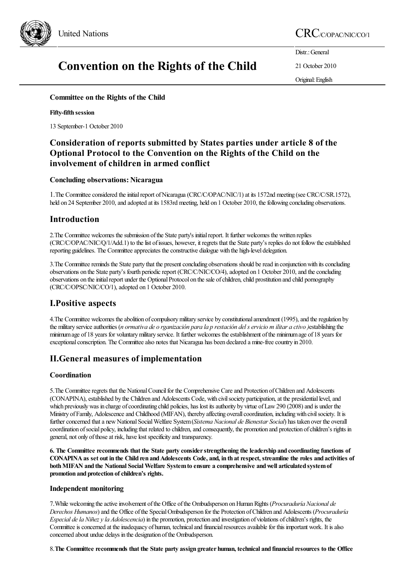

# Convention on the Rights of the Child

Distr.: General

21 October 2010

Original:English

## Committee on the Rights of the Child

#### Fifty-fifth session

13 September-1 October 2010

# Consideration of reports submitted by States parties under article 8 of the Optional Protocol to the Convention on the Rights of the Child on the involvement of children in armed conflict

### Concluding observations: Nicaragua

1. The Committee considered the initial report of Nicaragua (CRC/C/OPAC/NIC/1) at its 1572nd meeting (see CRC/C/SR.1572), held on 24 September 2010, and adopted at its 1583rd meeting, held on 1 October 2010, the following concluding observations.

# Introduction

2. The Committee welcomes the submission of the State party's initial report. It further welcomes the written replies (CRC/C/OPAC/NIC/Q/1/Add.1) to thelist ofissues, however, it regrets that the State party's replies do not followtheestablished reporting guidelines. The Committee appreciates the constructive dialogue with the high-level delegation.

3. The Committee reminds the State party that the present concluding observations should be read in conjunction with its concluding observations on the State party's fourth periodic report (CRC/C/NIC/CO/4), adopted on 1 October 2010, and the concluding observations on the initial report under the Optional Protocol on the sale of children, child prostitution and child pornography (CRC/C/OPSC/NIC/CO/1),adopted on 1 October 2010.

# I.Positive aspects

4. The Committee welcomes the abolition of compulsory military service by constitutional amendment (1995), and the regulation by the military service authorities (*n* ormativa de o rganización para la p restación del s ervicio m ilitar a ctivo) establishing the minimumage of 18 years for voluntarymilitary service. It further welcomes theestablishment ofthe minimumage of 18 years for exceptional conscription. The Committee also notes that Nicaragua has been declared a mine-free country in 2010.

# II.General measures of implementation

### Coordination

5. The Committee regrets that the National Council for the Comprehensive Care and Protection of Children and Adolescents (CONAPINA), established by the Children and Adolescents Code, with civil society participation, at the presidential level, and which previously was in charge of coordinating child policies, has lost its authority by virtue of Law 290 (2008) and is under the Ministry of Family, Adolescence and Childhood (MIFAN), thereby affecting overall coordination, including with civil society. It is further concerned that a new National Social Welfare System (Sistema Nacional de Bienestar Social) has taken over the overall coordination of social policy, including that related to children, and consequently, the promotion and protection of children's rights in general, not only of those at risk, have lost specificity and transparency.

6. The Committee recommends that the State party consider strengthening the leadership and coordinating functions of CONAPINA as set out in the Child ren and Adolescents Code, and, in th at respect, streamline the roles and activities of both MIFAN and the National Social Welfare System to ensure a comprehensive and well articulated system of promotion and protection of children's rights.

### Independent monitoring

7.While welcoming theactiveinvolvement ofthe Office ofthe Ombudsperson onHumanRights (*Procuraduría Nacional de Derechos Humanos*)and the Office ofthe SpecialOmbudsperson for the Protection ofChildren and Adolescents (*Procuraduría Especial dela Niñezyla Adolescencia*) in the promotion, protection and investigation of violations ofchildren's rights, the Committee is concerned at the inadequacy of human, technical and financial resources available for this important work. It is also concerned about undue delays in the designation of the Ombudsperson.

8. The Committee recommends that the State party assign greater human, technical and financial resources to the Office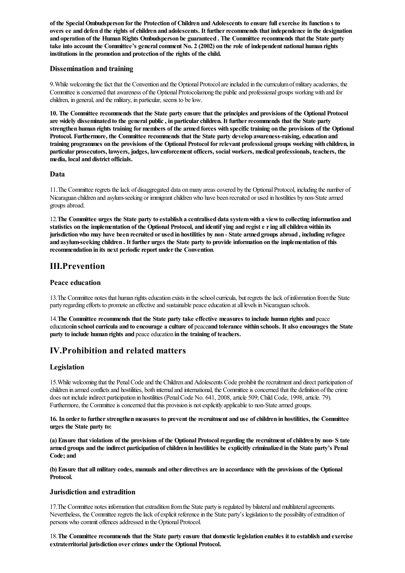of the SpecialOmbudsperson forthe Protection of Children andAdolescents to ensure fullexercise its function s to overs ee and defen d the rights of children and adolescents. It further recommends that independence in the designation and operation of the Human Rights Ombudsperson be guaranteed . The Committee recommends that the State party take into account the Committee's general comment No. 2 (2002) on the role of independent national human rights institutions in the promotion and protection of the rights of the child.

#### Dissemination and training

9. While welcoming the fact that the Convention and the Optional Protocol are included in the curriculum of military academies, the Committee is concerned that awareness of the Optional Protocolamong the public and professional groups working with and for children, in general, and the military, in particular, seems to be low.

10. The Committee recommends that the State party ensure that the principles and provisions of the Optional Protocol are widely disseminated to the general public, in particular children. It further recommends that the State party strengthen human rights training for members of the armed forces with specific training on the provisions of the Optional Protocol. Furthermore, the Committee recommends that the State party develop awareness-raising, education and training programmes on the provisions of the Optional Protocol forrelevant professional groups working with children, in particular prosecutors, lawyers, judges, lawenforcement officers, social workers, medical professionals, teachers, the media, local and district officials.

#### Data

11. The Committee regrets the lack of disaggregated data on many areas covered by the Optional Protocol, including the number of Nicaraguan children and asylum-seeking or immigrant children who have been recruited or used in hostilities by non-State armed groups abroad.

12.The Committee urges the State party to establish a centralised data systemwith a viewto collecting information and statistics on the implementation of the Optional Protocol, and identif ying and regist e ring all children within its jurisdictionwho may have been recruited or used in hostilities by non - State armed groups abroad , including refugee and asylum-seeking children . It further urges the State party to provide information on the implementation of this recommendation in its next periodic report under the Convention.

## III.Prevention

#### Peace education

13.The Committee notes that human rightseducation exists in theschoolcurricula, but regrets thelack ofinformation fromthe State party regarding efforts to promote an effective and sustainable peace education at all levels in Nicaraguan schools.

14.The Committee recommends that the State party take effective measures to include human rights and peace educationin school curricula and to encourage a culture of peaceand tolerance within schools. It also encourages the State party to include human rights and peace education in the training of teachers.

# IV.Prohibition and related matters

### Legislation

15.While welcoming that the PenalCodeand the Children and Adolescents Code prohibit therecruitmentand direct participation of children in armed conflicts and hostilities, both internal and international, the Committee is concerned that the definition of the crime does not include indirect participation in hostilities (Penal Code No. 641, 2008, article 509; Child Code, 1998, article. 79). Furthermore, the Committee is concerned that this provision is not explicitly applicable to non-State armed groups.

16. In order to further strengthen measures to prevent the recruitment and use of children in hostilities, the Committee urges the State party to:

(a) Ensure that violations of the provisions of the Optional Protocolregarding the recruitment ofchildren by non- S tate armed groups and the indirect participation of children in hostilities be explicitly criminalized in the State party's Penal Code; and

(b) Ensure that all military codes, manuals and other directives are in accordance with the provisions of the Optional Protocol.

#### Jurisdiction and extradition

17. The Committee notes information that extradition from the State party is regulated by bilateral and multilateral agreements. Nevertheless, the Committee regrets the lack of explicit reference in the State party's legislation to the possibility of extradition of persons who commit offences addressed in the Optional Protocol.

18.The Committee recommends that the State party ensure that domesticlegislation enables it to establish and exercise extraterritorial jurisdiction over crimes under the Optional Protocol.